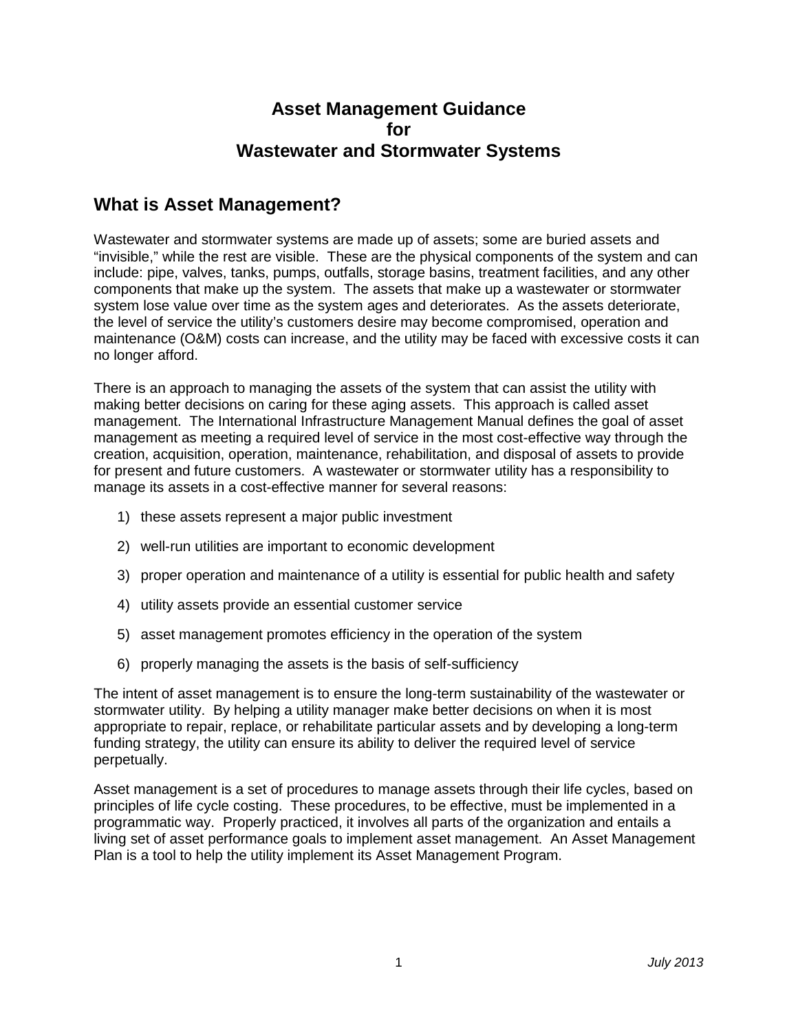### **Asset Management Guidance for Wastewater and Stormwater Systems**

### **What is Asset Management?**

Wastewater and stormwater systems are made up of assets; some are buried assets and "invisible," while the rest are visible. These are the physical components of the system and can include: pipe, valves, tanks, pumps, outfalls, storage basins, treatment facilities, and any other components that make up the system. The assets that make up a wastewater or stormwater system lose value over time as the system ages and deteriorates. As the assets deteriorate, the level of service the utility's customers desire may become compromised, operation and maintenance (O&M) costs can increase, and the utility may be faced with excessive costs it can no longer afford.

There is an approach to managing the assets of the system that can assist the utility with making better decisions on caring for these aging assets. This approach is called asset management. The International Infrastructure Management Manual defines the goal of asset management as meeting a required level of service in the most cost-effective way through the creation, acquisition, operation, maintenance, rehabilitation, and disposal of assets to provide for present and future customers. A wastewater or stormwater utility has a responsibility to manage its assets in a cost-effective manner for several reasons:

- 1) these assets represent a major public investment
- 2) well-run utilities are important to economic development
- 3) proper operation and maintenance of a utility is essential for public health and safety
- 4) utility assets provide an essential customer service
- 5) asset management promotes efficiency in the operation of the system
- 6) properly managing the assets is the basis of self-sufficiency

The intent of asset management is to ensure the long-term sustainability of the wastewater or stormwater utility. By helping a utility manager make better decisions on when it is most appropriate to repair, replace, or rehabilitate particular assets and by developing a long-term funding strategy, the utility can ensure its ability to deliver the required level of service perpetually.

Asset management is a set of procedures to manage assets through their life cycles, based on principles of life cycle costing. These procedures, to be effective, must be implemented in a programmatic way. Properly practiced, it involves all parts of the organization and entails a living set of asset performance goals to implement asset management. An Asset Management Plan is a tool to help the utility implement its Asset Management Program.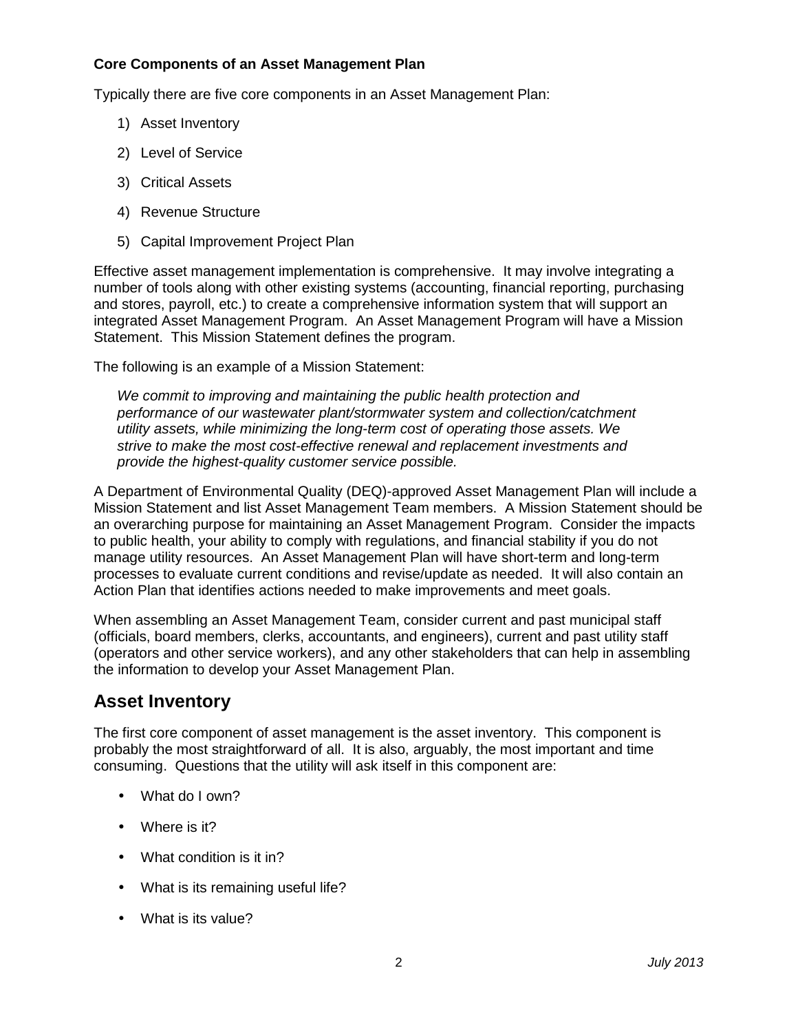#### **Core Components of an Asset Management Plan**

Typically there are five core components in an Asset Management Plan:

- 1) Asset Inventory
- 2) Level of Service
- 3) Critical Assets
- 4) Revenue Structure
- 5) Capital Improvement Project Plan

Effective asset management implementation is comprehensive. It may involve integrating a number of tools along with other existing systems (accounting, financial reporting, purchasing and stores, payroll, etc.) to create a comprehensive information system that will support an integrated Asset Management Program. An Asset Management Program will have a Mission Statement. This Mission Statement defines the program.

The following is an example of a Mission Statement:

We commit to improving and maintaining the public health protection and performance of our wastewater plant/stormwater system and collection/catchment utility assets, while minimizing the long-term cost of operating those assets. We strive to make the most cost-effective renewal and replacement investments and provide the highest-quality customer service possible.

A Department of Environmental Quality (DEQ)-approved Asset Management Plan will include a Mission Statement and list Asset Management Team members. A Mission Statement should be an overarching purpose for maintaining an Asset Management Program. Consider the impacts to public health, your ability to comply with regulations, and financial stability if you do not manage utility resources. An Asset Management Plan will have short-term and long-term processes to evaluate current conditions and revise/update as needed. It will also contain an Action Plan that identifies actions needed to make improvements and meet goals.

When assembling an Asset Management Team, consider current and past municipal staff (officials, board members, clerks, accountants, and engineers), current and past utility staff (operators and other service workers), and any other stakeholders that can help in assembling the information to develop your Asset Management Plan.

## **Asset Inventory**

The first core component of asset management is the asset inventory. This component is probably the most straightforward of all. It is also, arguably, the most important and time consuming. Questions that the utility will ask itself in this component are:

- What do I own?
- Where is it?
- What condition is it in?
- What is its remaining useful life?
- What is its value?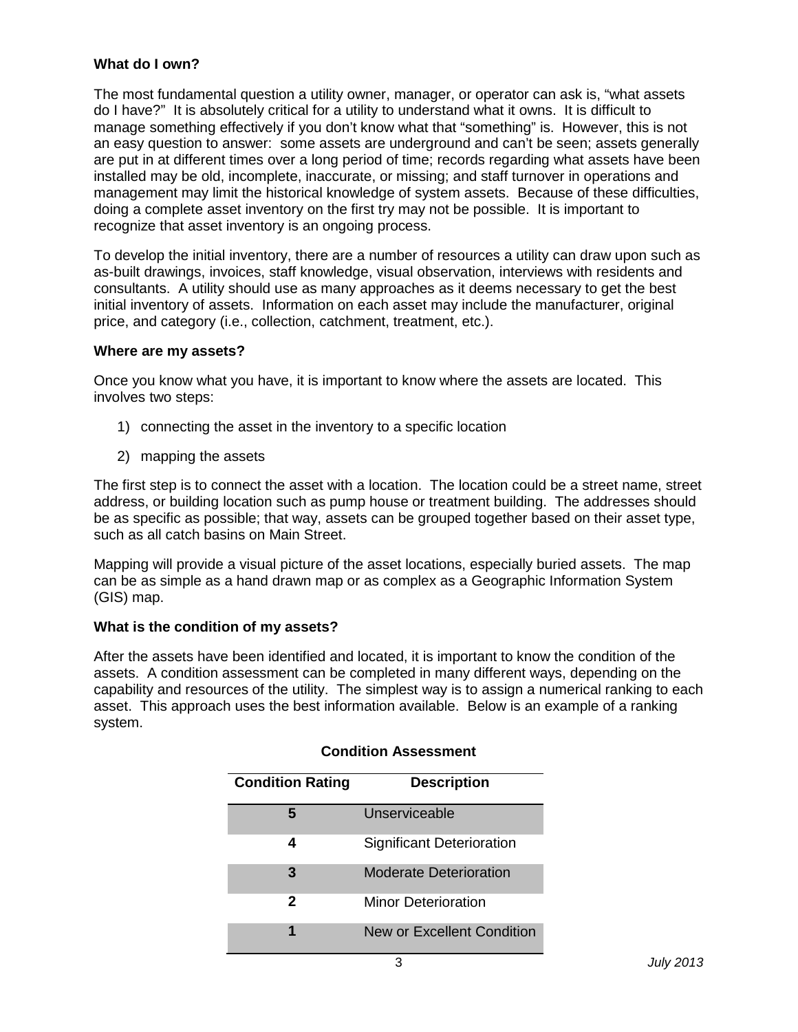#### **What do I own?**

The most fundamental question a utility owner, manager, or operator can ask is, "what assets do I have?" It is absolutely critical for a utility to understand what it owns. It is difficult to manage something effectively if you don't know what that "something" is. However, this is not an easy question to answer: some assets are underground and can't be seen; assets generally are put in at different times over a long period of time; records regarding what assets have been installed may be old, incomplete, inaccurate, or missing; and staff turnover in operations and management may limit the historical knowledge of system assets. Because of these difficulties, doing a complete asset inventory on the first try may not be possible. It is important to recognize that asset inventory is an ongoing process.

To develop the initial inventory, there are a number of resources a utility can draw upon such as as-built drawings, invoices, staff knowledge, visual observation, interviews with residents and consultants. A utility should use as many approaches as it deems necessary to get the best initial inventory of assets. Information on each asset may include the manufacturer, original price, and category (i.e., collection, catchment, treatment, etc.).

#### **Where are my assets?**

Once you know what you have, it is important to know where the assets are located. This involves two steps:

- 1) connecting the asset in the inventory to a specific location
- 2) mapping the assets

The first step is to connect the asset with a location. The location could be a street name, street address, or building location such as pump house or treatment building. The addresses should be as specific as possible; that way, assets can be grouped together based on their asset type, such as all catch basins on Main Street.

Mapping will provide a visual picture of the asset locations, especially buried assets. The map can be as simple as a hand drawn map or as complex as a Geographic Information System (GIS) map.

#### **What is the condition of my assets?**

After the assets have been identified and located, it is important to know the condition of the assets. A condition assessment can be completed in many different ways, depending on the capability and resources of the utility. The simplest way is to assign a numerical ranking to each asset. This approach uses the best information available. Below is an example of a ranking system.

| <b>Condition Rating</b> | <b>Description</b>         |  |  |
|-------------------------|----------------------------|--|--|
|                         | Unserviceable              |  |  |
| 4                       | Significant Deterioration  |  |  |
| 3                       | Moderate Deterioration     |  |  |
| 2                       | Minor Deterioration        |  |  |
|                         | New or Excellent Condition |  |  |

#### **Condition Assessment**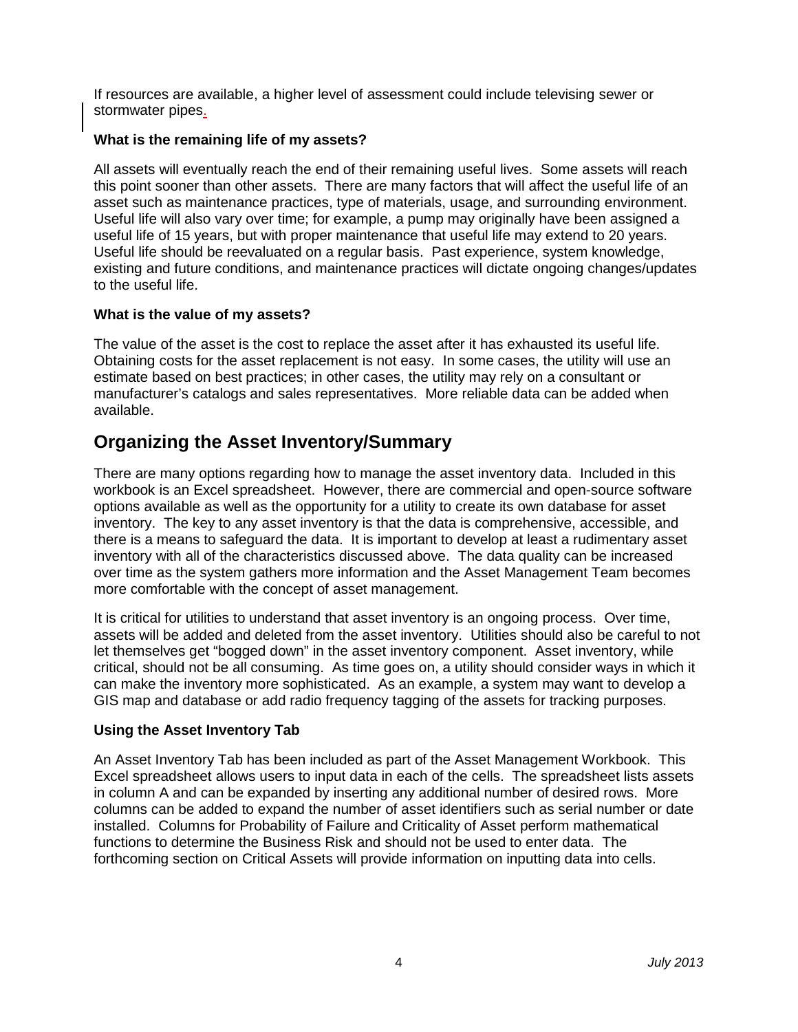If resources are available, a higher level of assessment could include televising sewer or stormwater pipes.

#### **What is the remaining life of my assets?**

All assets will eventually reach the end of their remaining useful lives. Some assets will reach this point sooner than other assets. There are many factors that will affect the useful life of an asset such as maintenance practices, type of materials, usage, and surrounding environment. Useful life will also vary over time; for example, a pump may originally have been assigned a useful life of 15 years, but with proper maintenance that useful life may extend to 20 years. Useful life should be reevaluated on a regular basis. Past experience, system knowledge, existing and future conditions, and maintenance practices will dictate ongoing changes/updates to the useful life.

#### **What is the value of my assets?**

The value of the asset is the cost to replace the asset after it has exhausted its useful life. Obtaining costs for the asset replacement is not easy. In some cases, the utility will use an estimate based on best practices; in other cases, the utility may rely on a consultant or manufacturer's catalogs and sales representatives. More reliable data can be added when available.

### **Organizing the Asset Inventory/Summary**

There are many options regarding how to manage the asset inventory data. Included in this workbook is an Excel spreadsheet. However, there are commercial and open-source software options available as well as the opportunity for a utility to create its own database for asset inventory. The key to any asset inventory is that the data is comprehensive, accessible, and there is a means to safeguard the data. It is important to develop at least a rudimentary asset inventory with all of the characteristics discussed above. The data quality can be increased over time as the system gathers more information and the Asset Management Team becomes more comfortable with the concept of asset management.

It is critical for utilities to understand that asset inventory is an ongoing process. Over time, assets will be added and deleted from the asset inventory. Utilities should also be careful to not let themselves get "bogged down" in the asset inventory component. Asset inventory, while critical, should not be all consuming. As time goes on, a utility should consider ways in which it can make the inventory more sophisticated. As an example, a system may want to develop a GIS map and database or add radio frequency tagging of the assets for tracking purposes.

#### **Using the Asset Inventory Tab**

An Asset Inventory Tab has been included as part of the Asset Management Workbook. This Excel spreadsheet allows users to input data in each of the cells. The spreadsheet lists assets in column A and can be expanded by inserting any additional number of desired rows. More columns can be added to expand the number of asset identifiers such as serial number or date installed. Columns for Probability of Failure and Criticality of Asset perform mathematical functions to determine the Business Risk and should not be used to enter data. The forthcoming section on Critical Assets will provide information on inputting data into cells.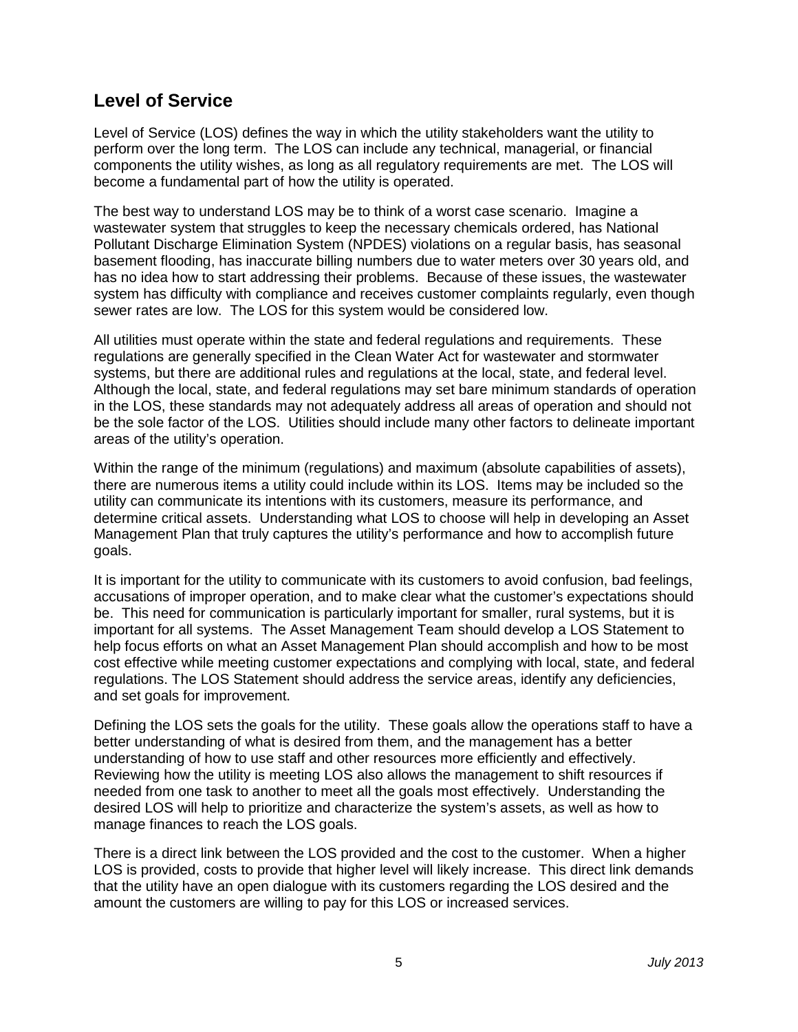### **Level of Service**

Level of Service (LOS) defines the way in which the utility stakeholders want the utility to perform over the long term. The LOS can include any technical, managerial, or financial components the utility wishes, as long as all regulatory requirements are met. The LOS will become a fundamental part of how the utility is operated.

The best way to understand LOS may be to think of a worst case scenario. Imagine a wastewater system that struggles to keep the necessary chemicals ordered, has National Pollutant Discharge Elimination System (NPDES) violations on a regular basis, has seasonal basement flooding, has inaccurate billing numbers due to water meters over 30 years old, and has no idea how to start addressing their problems. Because of these issues, the wastewater system has difficulty with compliance and receives customer complaints regularly, even though sewer rates are low. The LOS for this system would be considered low.

All utilities must operate within the state and federal regulations and requirements. These regulations are generally specified in the Clean Water Act for wastewater and stormwater systems, but there are additional rules and regulations at the local, state, and federal level. Although the local, state, and federal regulations may set bare minimum standards of operation in the LOS, these standards may not adequately address all areas of operation and should not be the sole factor of the LOS. Utilities should include many other factors to delineate important areas of the utility's operation.

Within the range of the minimum (regulations) and maximum (absolute capabilities of assets), there are numerous items a utility could include within its LOS. Items may be included so the utility can communicate its intentions with its customers, measure its performance, and determine critical assets. Understanding what LOS to choose will help in developing an Asset Management Plan that truly captures the utility's performance and how to accomplish future goals.

It is important for the utility to communicate with its customers to avoid confusion, bad feelings, accusations of improper operation, and to make clear what the customer's expectations should be. This need for communication is particularly important for smaller, rural systems, but it is important for all systems. The Asset Management Team should develop a LOS Statement to help focus efforts on what an Asset Management Plan should accomplish and how to be most cost effective while meeting customer expectations and complying with local, state, and federal regulations. The LOS Statement should address the service areas, identify any deficiencies, and set goals for improvement.

Defining the LOS sets the goals for the utility. These goals allow the operations staff to have a better understanding of what is desired from them, and the management has a better understanding of how to use staff and other resources more efficiently and effectively. Reviewing how the utility is meeting LOS also allows the management to shift resources if needed from one task to another to meet all the goals most effectively. Understanding the desired LOS will help to prioritize and characterize the system's assets, as well as how to manage finances to reach the LOS goals.

There is a direct link between the LOS provided and the cost to the customer. When a higher LOS is provided, costs to provide that higher level will likely increase. This direct link demands that the utility have an open dialogue with its customers regarding the LOS desired and the amount the customers are willing to pay for this LOS or increased services.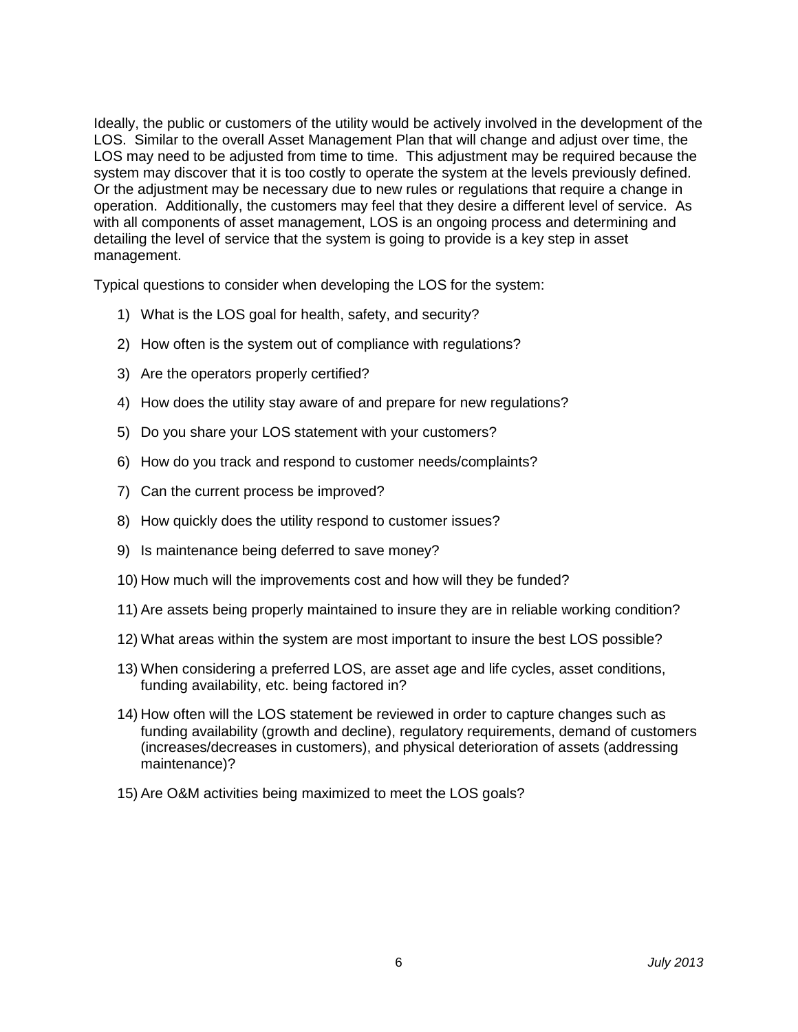Ideally, the public or customers of the utility would be actively involved in the development of the LOS. Similar to the overall Asset Management Plan that will change and adjust over time, the LOS may need to be adjusted from time to time. This adjustment may be required because the system may discover that it is too costly to operate the system at the levels previously defined. Or the adjustment may be necessary due to new rules or regulations that require a change in operation. Additionally, the customers may feel that they desire a different level of service. As with all components of asset management, LOS is an ongoing process and determining and detailing the level of service that the system is going to provide is a key step in asset management.

Typical questions to consider when developing the LOS for the system:

- 1) What is the LOS goal for health, safety, and security?
- 2) How often is the system out of compliance with regulations?
- 3) Are the operators properly certified?
- 4) How does the utility stay aware of and prepare for new regulations?
- 5) Do you share your LOS statement with your customers?
- 6) How do you track and respond to customer needs/complaints?
- 7) Can the current process be improved?
- 8) How quickly does the utility respond to customer issues?
- 9) Is maintenance being deferred to save money?
- 10) How much will the improvements cost and how will they be funded?
- 11) Are assets being properly maintained to insure they are in reliable working condition?
- 12) What areas within the system are most important to insure the best LOS possible?
- 13) When considering a preferred LOS, are asset age and life cycles, asset conditions, funding availability, etc. being factored in?
- 14) How often will the LOS statement be reviewed in order to capture changes such as funding availability (growth and decline), regulatory requirements, demand of customers (increases/decreases in customers), and physical deterioration of assets (addressing maintenance)?
- 15) Are O&M activities being maximized to meet the LOS goals?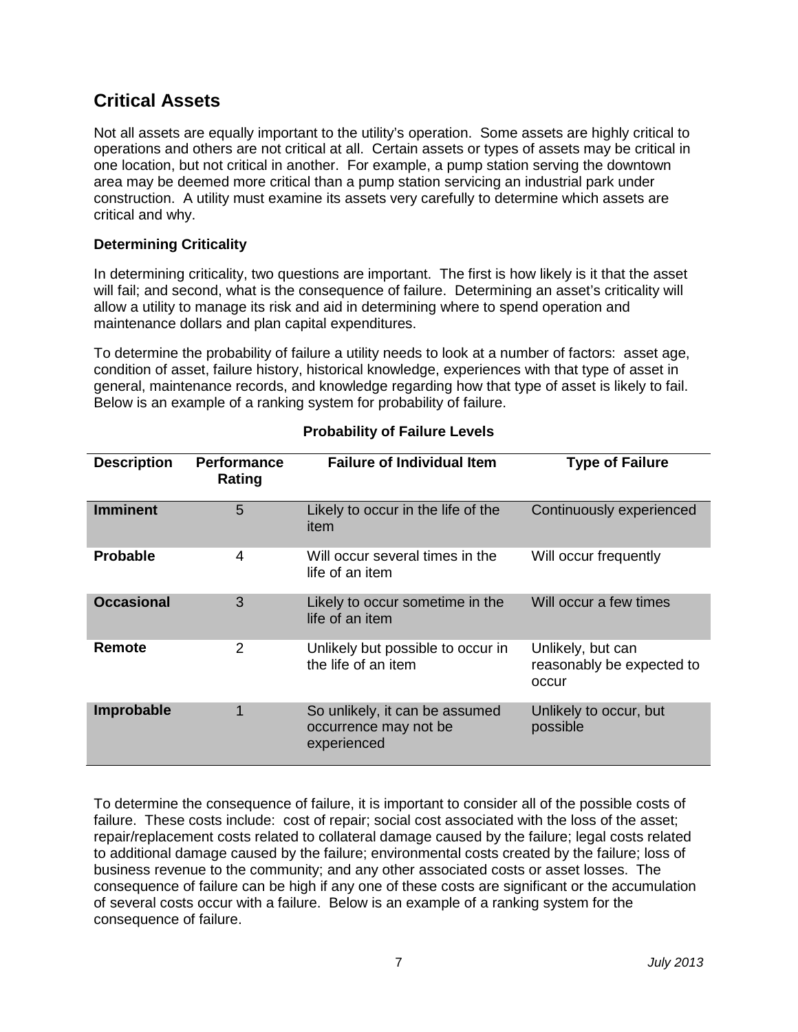# **Critical Assets**

Not all assets are equally important to the utility's operation. Some assets are highly critical to operations and others are not critical at all. Certain assets or types of assets may be critical in one location, but not critical in another. For example, a pump station serving the downtown area may be deemed more critical than a pump station servicing an industrial park under construction. A utility must examine its assets very carefully to determine which assets are critical and why.

#### **Determining Criticality**

In determining criticality, two questions are important. The first is how likely is it that the asset will fail; and second, what is the consequence of failure. Determining an asset's criticality will allow a utility to manage its risk and aid in determining where to spend operation and maintenance dollars and plan capital expenditures.

To determine the probability of failure a utility needs to look at a number of factors: asset age, condition of asset, failure history, historical knowledge, experiences with that type of asset in general, maintenance records, and knowledge regarding how that type of asset is likely to fail. Below is an example of a ranking system for probability of failure.

| <b>Description</b> | <b>Performance</b><br>Rating | <b>Failure of Individual Item</b>                                      | <b>Type of Failure</b>                                  |  |
|--------------------|------------------------------|------------------------------------------------------------------------|---------------------------------------------------------|--|
| <b>Imminent</b>    | 5                            | Likely to occur in the life of the<br>item                             | Continuously experienced                                |  |
| <b>Probable</b>    | 4                            | Will occur several times in the<br>life of an item                     | Will occur frequently                                   |  |
| <b>Occasional</b>  | 3                            | Likely to occur sometime in the<br>life of an item                     | Will occur a few times                                  |  |
| Remote             | 2                            | Unlikely but possible to occur in<br>the life of an item               | Unlikely, but can<br>reasonably be expected to<br>occur |  |
| Improbable         | 1                            | So unlikely, it can be assumed<br>occurrence may not be<br>experienced | Unlikely to occur, but<br>possible                      |  |

#### **Probability of Failure Levels**

To determine the consequence of failure, it is important to consider all of the possible costs of failure. These costs include: cost of repair; social cost associated with the loss of the asset; repair/replacement costs related to collateral damage caused by the failure; legal costs related to additional damage caused by the failure; environmental costs created by the failure; loss of business revenue to the community; and any other associated costs or asset losses. The consequence of failure can be high if any one of these costs are significant or the accumulation of several costs occur with a failure. Below is an example of a ranking system for the consequence of failure.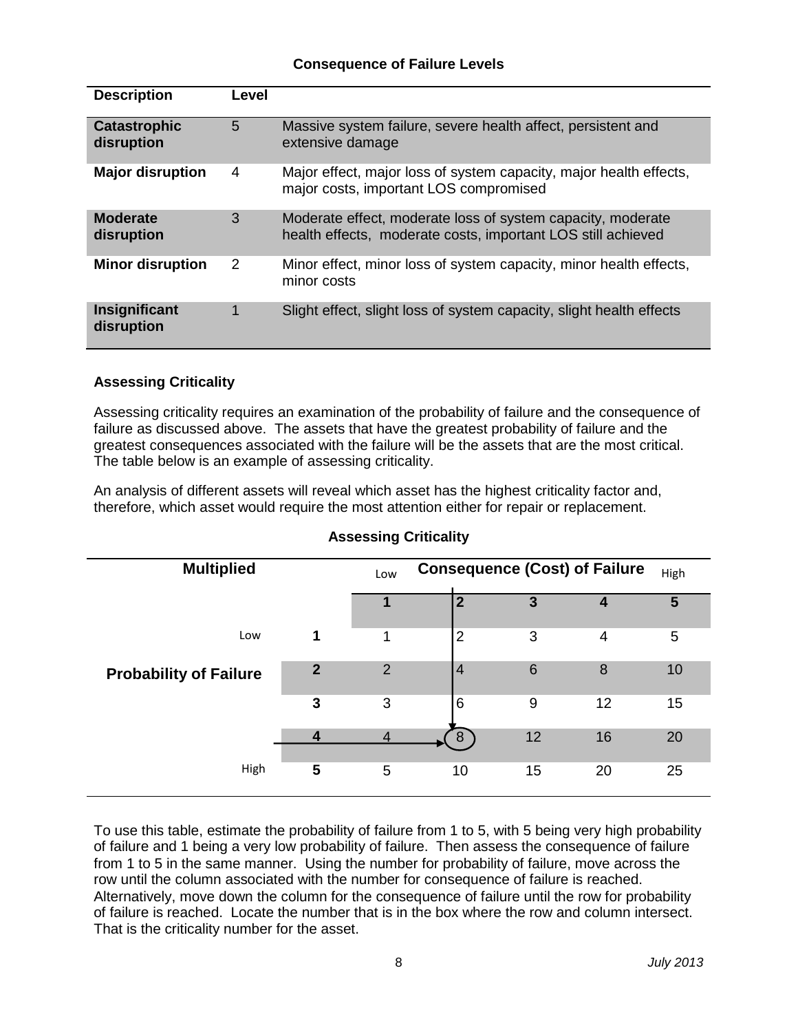#### **Consequence of Failure Levels**

| <b>Description</b>                | Level |                                                                                                                             |
|-----------------------------------|-------|-----------------------------------------------------------------------------------------------------------------------------|
| <b>Catastrophic</b><br>disruption | 5     | Massive system failure, severe health affect, persistent and<br>extensive damage                                            |
| <b>Major disruption</b>           | 4     | Major effect, major loss of system capacity, major health effects,<br>major costs, important LOS compromised                |
| <b>Moderate</b><br>disruption     | 3     | Moderate effect, moderate loss of system capacity, moderate<br>health effects, moderate costs, important LOS still achieved |
| <b>Minor disruption</b>           | 2     | Minor effect, minor loss of system capacity, minor health effects,<br>minor costs                                           |
| Insignificant<br>disruption       | 1     | Slight effect, slight loss of system capacity, slight health effects                                                        |

#### **Assessing Criticality**

Assessing criticality requires an examination of the probability of failure and the consequence of failure as discussed above. The assets that have the greatest probability of failure and the greatest consequences associated with the failure will be the assets that are the most critical. The table below is an example of assessing criticality.

An analysis of different assets will reveal which asset has the highest criticality factor and, therefore, which asset would require the most attention either for repair or replacement.

| <b>Multiplied</b>             |             | <b>Consequence (Cost) of Failure</b><br>High<br>Low |                |                 |    |    |
|-------------------------------|-------------|-----------------------------------------------------|----------------|-----------------|----|----|
|                               |             |                                                     | 2              | 3               | 4  | 5  |
| Low                           | 1           | 1                                                   | $\overline{2}$ | 3               | 4  | 5  |
| <b>Probability of Failure</b> | $\mathbf 2$ | $\overline{2}$                                      | 4              | $6\phantom{1}6$ | 8  | 10 |
|                               | 3           | 3                                                   | 6              | 9               | 12 | 15 |
|                               |             |                                                     | 8              | 12              | 16 | 20 |
| High                          | 5           | 5                                                   | 10             | 15              | 20 | 25 |

#### **Assessing Criticality**

To use this table, estimate the probability of failure from 1 to 5, with 5 being very high probability of failure and 1 being a very low probability of failure. Then assess the consequence of failure from 1 to 5 in the same manner. Using the number for probability of failure, move across the row until the column associated with the number for consequence of failure is reached. Alternatively, move down the column for the consequence of failure until the row for probability of failure is reached. Locate the number that is in the box where the row and column intersect. That is the criticality number for the asset.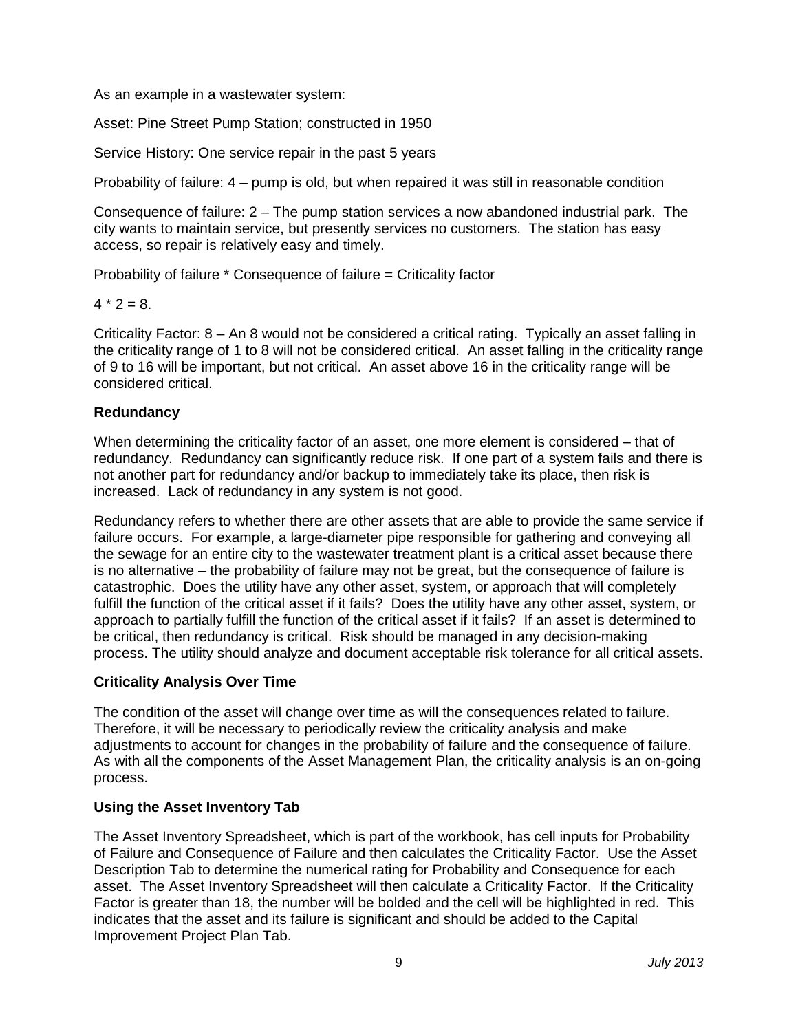As an example in a wastewater system:

Asset: Pine Street Pump Station; constructed in 1950

Service History: One service repair in the past 5 years

Probability of failure: 4 – pump is old, but when repaired it was still in reasonable condition

Consequence of failure: 2 – The pump station services a now abandoned industrial park. The city wants to maintain service, but presently services no customers. The station has easy access, so repair is relatively easy and timely.

Probability of failure \* Consequence of failure = Criticality factor

 $4 * 2 = 8$ .

Criticality Factor: 8 – An 8 would not be considered a critical rating. Typically an asset falling in the criticality range of 1 to 8 will not be considered critical. An asset falling in the criticality range of 9 to 16 will be important, but not critical. An asset above 16 in the criticality range will be considered critical.

#### **Redundancy**

When determining the criticality factor of an asset, one more element is considered – that of redundancy. Redundancy can significantly reduce risk. If one part of a system fails and there is not another part for redundancy and/or backup to immediately take its place, then risk is increased. Lack of redundancy in any system is not good.

Redundancy refers to whether there are other assets that are able to provide the same service if failure occurs. For example, a large-diameter pipe responsible for gathering and conveying all the sewage for an entire city to the wastewater treatment plant is a critical asset because there is no alternative – the probability of failure may not be great, but the consequence of failure is catastrophic. Does the utility have any other asset, system, or approach that will completely fulfill the function of the critical asset if it fails? Does the utility have any other asset, system, or approach to partially fulfill the function of the critical asset if it fails? If an asset is determined to be critical, then redundancy is critical. Risk should be managed in any decision-making process. The utility should analyze and document acceptable risk tolerance for all critical assets.

#### **Criticality Analysis Over Time**

The condition of the asset will change over time as will the consequences related to failure. Therefore, it will be necessary to periodically review the criticality analysis and make adjustments to account for changes in the probability of failure and the consequence of failure. As with all the components of the Asset Management Plan, the criticality analysis is an on-going process.

#### **Using the Asset Inventory Tab**

The Asset Inventory Spreadsheet, which is part of the workbook, has cell inputs for Probability of Failure and Consequence of Failure and then calculates the Criticality Factor. Use the Asset Description Tab to determine the numerical rating for Probability and Consequence for each asset. The Asset Inventory Spreadsheet will then calculate a Criticality Factor. If the Criticality Factor is greater than 18, the number will be bolded and the cell will be highlighted in red. This indicates that the asset and its failure is significant and should be added to the Capital Improvement Project Plan Tab.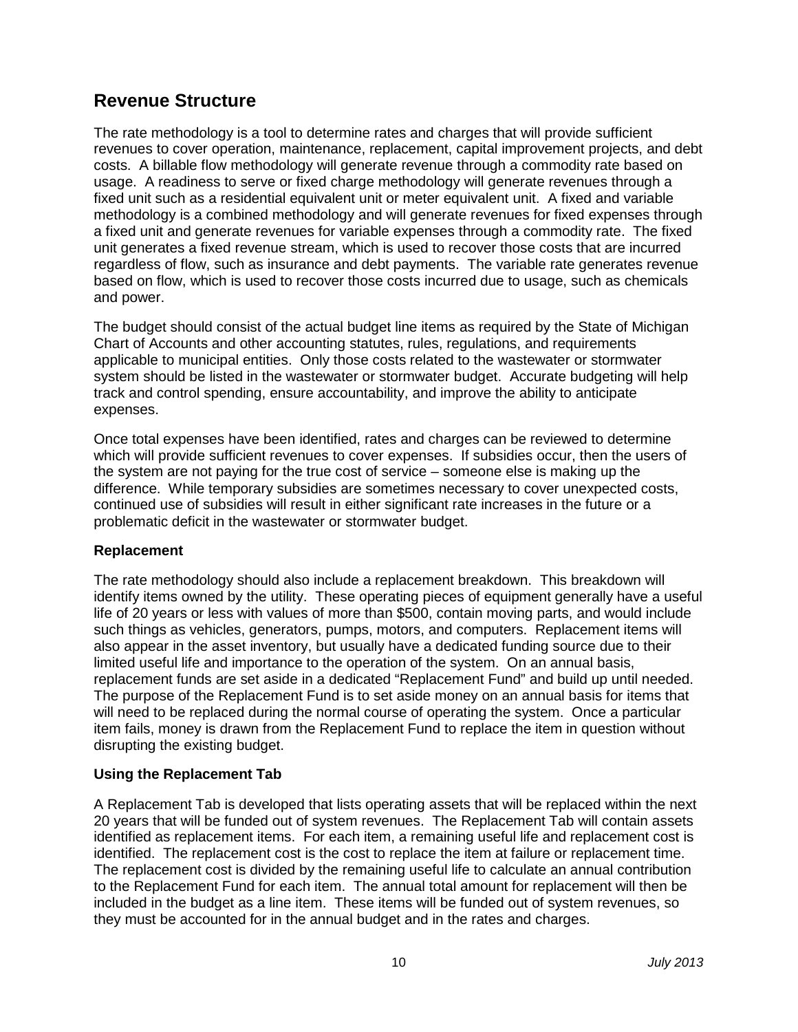## **Revenue Structure**

The rate methodology is a tool to determine rates and charges that will provide sufficient revenues to cover operation, maintenance, replacement, capital improvement projects, and debt costs. A billable flow methodology will generate revenue through a commodity rate based on usage. A readiness to serve or fixed charge methodology will generate revenues through a fixed unit such as a residential equivalent unit or meter equivalent unit. A fixed and variable methodology is a combined methodology and will generate revenues for fixed expenses through a fixed unit and generate revenues for variable expenses through a commodity rate. The fixed unit generates a fixed revenue stream, which is used to recover those costs that are incurred regardless of flow, such as insurance and debt payments. The variable rate generates revenue based on flow, which is used to recover those costs incurred due to usage, such as chemicals and power.

The budget should consist of the actual budget line items as required by the State of Michigan Chart of Accounts and other accounting statutes, rules, regulations, and requirements applicable to municipal entities. Only those costs related to the wastewater or stormwater system should be listed in the wastewater or stormwater budget. Accurate budgeting will help track and control spending, ensure accountability, and improve the ability to anticipate expenses.

Once total expenses have been identified, rates and charges can be reviewed to determine which will provide sufficient revenues to cover expenses. If subsidies occur, then the users of the system are not paying for the true cost of service – someone else is making up the difference. While temporary subsidies are sometimes necessary to cover unexpected costs, continued use of subsidies will result in either significant rate increases in the future or a problematic deficit in the wastewater or stormwater budget.

#### **Replacement**

The rate methodology should also include a replacement breakdown. This breakdown will identify items owned by the utility. These operating pieces of equipment generally have a useful life of 20 years or less with values of more than \$500, contain moving parts, and would include such things as vehicles, generators, pumps, motors, and computers. Replacement items will also appear in the asset inventory, but usually have a dedicated funding source due to their limited useful life and importance to the operation of the system. On an annual basis, replacement funds are set aside in a dedicated "Replacement Fund" and build up until needed. The purpose of the Replacement Fund is to set aside money on an annual basis for items that will need to be replaced during the normal course of operating the system. Once a particular item fails, money is drawn from the Replacement Fund to replace the item in question without disrupting the existing budget.

#### **Using the Replacement Tab**

A Replacement Tab is developed that lists operating assets that will be replaced within the next 20 years that will be funded out of system revenues. The Replacement Tab will contain assets identified as replacement items. For each item, a remaining useful life and replacement cost is identified. The replacement cost is the cost to replace the item at failure or replacement time. The replacement cost is divided by the remaining useful life to calculate an annual contribution to the Replacement Fund for each item. The annual total amount for replacement will then be included in the budget as a line item. These items will be funded out of system revenues, so they must be accounted for in the annual budget and in the rates and charges.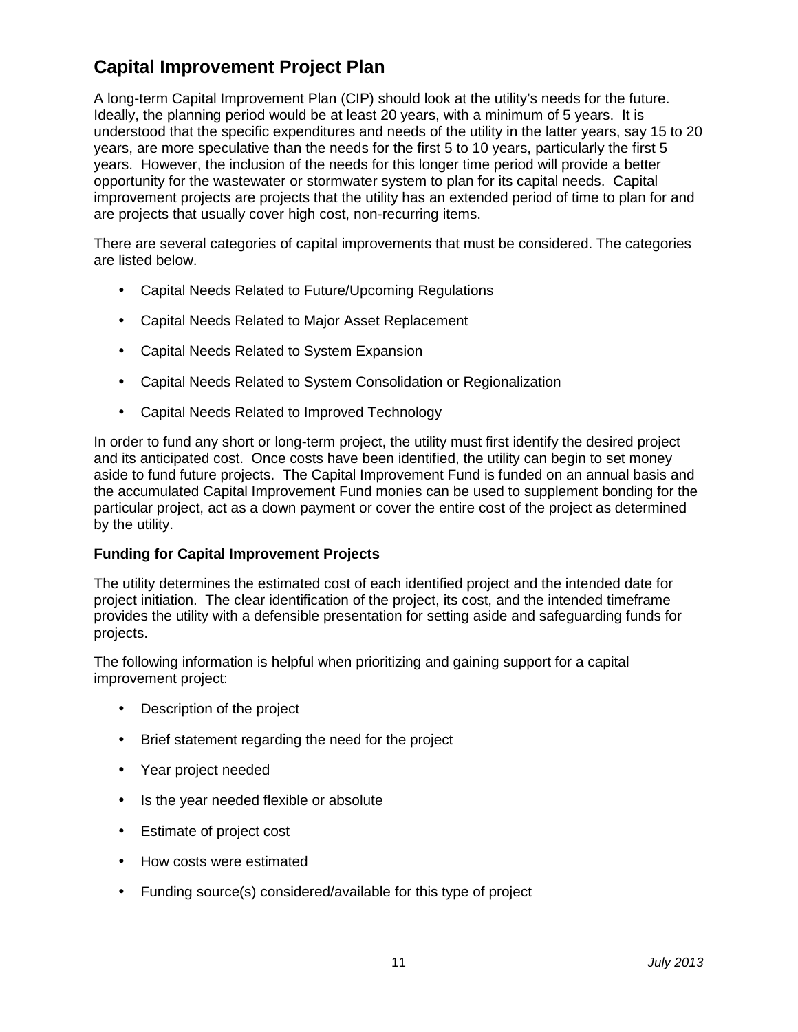# **Capital Improvement Project Plan**

A long-term Capital Improvement Plan (CIP) should look at the utility's needs for the future. Ideally, the planning period would be at least 20 years, with a minimum of 5 years. It is understood that the specific expenditures and needs of the utility in the latter years, say 15 to 20 years, are more speculative than the needs for the first 5 to 10 years, particularly the first 5 years. However, the inclusion of the needs for this longer time period will provide a better opportunity for the wastewater or stormwater system to plan for its capital needs. Capital improvement projects are projects that the utility has an extended period of time to plan for and are projects that usually cover high cost, non-recurring items.

There are several categories of capital improvements that must be considered. The categories are listed below.

- Capital Needs Related to Future/Upcoming Regulations
- Capital Needs Related to Major Asset Replacement
- Capital Needs Related to System Expansion
- Capital Needs Related to System Consolidation or Regionalization
- Capital Needs Related to Improved Technology

In order to fund any short or long-term project, the utility must first identify the desired project and its anticipated cost. Once costs have been identified, the utility can begin to set money aside to fund future projects. The Capital Improvement Fund is funded on an annual basis and the accumulated Capital Improvement Fund monies can be used to supplement bonding for the particular project, act as a down payment or cover the entire cost of the project as determined by the utility.

#### **Funding for Capital Improvement Projects**

The utility determines the estimated cost of each identified project and the intended date for project initiation. The clear identification of the project, its cost, and the intended timeframe provides the utility with a defensible presentation for setting aside and safeguarding funds for projects.

The following information is helpful when prioritizing and gaining support for a capital improvement project:

- Description of the project
- Brief statement regarding the need for the project
- Year project needed
- Is the year needed flexible or absolute
- Estimate of project cost
- How costs were estimated
- Funding source(s) considered/available for this type of project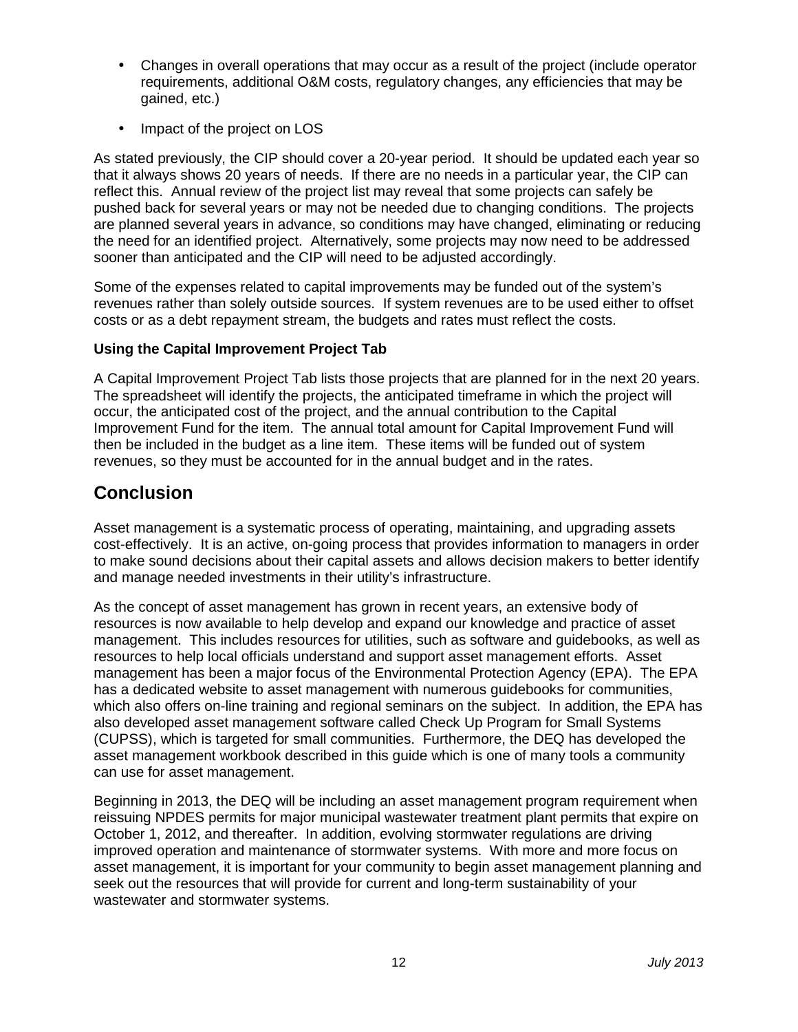- Changes in overall operations that may occur as a result of the project (include operator requirements, additional O&M costs, regulatory changes, any efficiencies that may be gained, etc.)
- Impact of the project on LOS

As stated previously, the CIP should cover a 20-year period. It should be updated each year so that it always shows 20 years of needs. If there are no needs in a particular year, the CIP can reflect this. Annual review of the project list may reveal that some projects can safely be pushed back for several years or may not be needed due to changing conditions. The projects are planned several years in advance, so conditions may have changed, eliminating or reducing the need for an identified project. Alternatively, some projects may now need to be addressed sooner than anticipated and the CIP will need to be adjusted accordingly.

Some of the expenses related to capital improvements may be funded out of the system's revenues rather than solely outside sources. If system revenues are to be used either to offset costs or as a debt repayment stream, the budgets and rates must reflect the costs.

#### **Using the Capital Improvement Project Tab**

A Capital Improvement Project Tab lists those projects that are planned for in the next 20 years. The spreadsheet will identify the projects, the anticipated timeframe in which the project will occur, the anticipated cost of the project, and the annual contribution to the Capital Improvement Fund for the item. The annual total amount for Capital Improvement Fund will then be included in the budget as a line item. These items will be funded out of system revenues, so they must be accounted for in the annual budget and in the rates.

### **Conclusion**

Asset management is a systematic process of operating, maintaining, and upgrading assets cost-effectively. It is an active, on-going process that provides information to managers in order to make sound decisions about their capital assets and allows decision makers to better identify and manage needed investments in their utility's infrastructure.

As the concept of asset management has grown in recent years, an extensive body of resources is now available to help develop and expand our knowledge and practice of asset management. This includes resources for utilities, such as software and guidebooks, as well as resources to help local officials understand and support asset management efforts. Asset management has been a major focus of the Environmental Protection Agency (EPA). The EPA has a dedicated website to asset management with numerous guidebooks for communities, which also offers on-line training and regional seminars on the subject. In addition, the EPA has also developed asset management software called Check Up Program for Small Systems (CUPSS), which is targeted for small communities. Furthermore, the DEQ has developed the asset management workbook described in this guide which is one of many tools a community can use for asset management.

Beginning in 2013, the DEQ will be including an asset management program requirement when reissuing NPDES permits for major municipal wastewater treatment plant permits that expire on October 1, 2012, and thereafter. In addition, evolving stormwater regulations are driving improved operation and maintenance of stormwater systems. With more and more focus on asset management, it is important for your community to begin asset management planning and seek out the resources that will provide for current and long-term sustainability of your wastewater and stormwater systems.